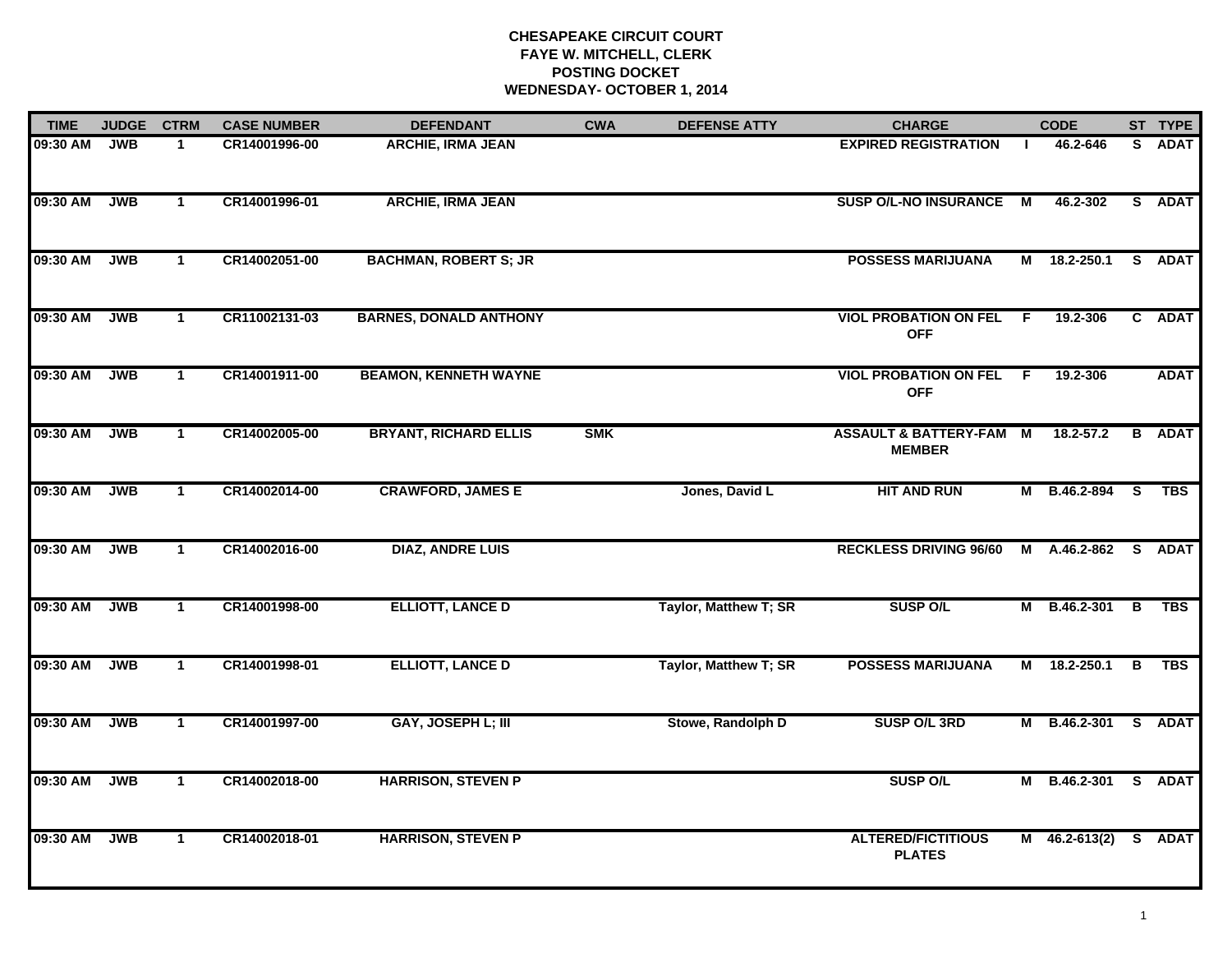| <b>TIME</b> | <b>JUDGE</b> | <b>CTRM</b>          | <b>CASE NUMBER</b> | <b>DEFENDANT</b>              | <b>CWA</b> | <b>DEFENSE ATTY</b>   | <b>CHARGE</b>                                       |    | <b>CODE</b>         |                         | ST TYPE       |
|-------------|--------------|----------------------|--------------------|-------------------------------|------------|-----------------------|-----------------------------------------------------|----|---------------------|-------------------------|---------------|
| 09:30 AM    | <b>JWB</b>   |                      | CR14001996-00      | <b>ARCHIE, IRMA JEAN</b>      |            |                       | <b>EXPIRED REGISTRATION</b>                         |    | 46.2-646            | S.                      | <b>ADAT</b>   |
| 09:30 AM    | <b>JWB</b>   | $\mathbf{1}$         | CR14001996-01      | <b>ARCHIE, IRMA JEAN</b>      |            |                       | <b>SUSP O/L-NO INSURANCE</b>                        | M  | 46.2-302            |                         | S ADAT        |
| 09:30 AM    | <b>JWB</b>   | $\mathbf{1}$         | CR14002051-00      | <b>BACHMAN, ROBERT S; JR</b>  |            |                       | <b>POSSESS MARIJUANA</b>                            |    | M 18.2-250.1        |                         | S ADAT        |
| 09:30 AM    | <b>JWB</b>   | $\mathbf{1}$         | CR11002131-03      | <b>BARNES, DONALD ANTHONY</b> |            |                       | <b>VIOL PROBATION ON FEL</b><br><b>OFF</b>          | E  | 19.2-306            |                         | C ADAT        |
| 09:30 AM    | <b>JWB</b>   | $\mathbf{1}$         | CR14001911-00      | <b>BEAMON, KENNETH WAYNE</b>  |            |                       | <b>VIOL PROBATION ON FEL</b><br><b>OFF</b>          | F. | 19.2-306            |                         | <b>ADAT</b>   |
| 09:30 AM    | <b>JWB</b>   | $\mathbf{1}$         | CR14002005-00      | <b>BRYANT, RICHARD ELLIS</b>  | <b>SMK</b> |                       | <b>ASSAULT &amp; BATTERY-FAM M</b><br><b>MEMBER</b> |    | 18.2-57.2           |                         | <b>B</b> ADAT |
| 09:30 AM    | <b>JWB</b>   | $\mathbf{1}$         | CR14002014-00      | <b>CRAWFORD, JAMES E</b>      |            | Jones, David L        | <b>HIT AND RUN</b>                                  |    | M B.46.2-894        | $\overline{\mathbf{s}}$ | <b>TBS</b>    |
| 09:30 AM    | <b>JWB</b>   | $\mathbf{1}$         | CR14002016-00      | <b>DIAZ, ANDRE LUIS</b>       |            |                       | <b>RECKLESS DRIVING 96/60</b>                       |    | M A.46.2-862 S ADAT |                         |               |
| 09:30 AM    | <b>JWB</b>   | $\blacktriangleleft$ | CR14001998-00      | <b>ELLIOTT, LANCE D</b>       |            | Taylor, Matthew T; SR | <b>SUSP O/L</b>                                     | М  | B.46.2-301          | B                       | TBS           |
| 09:30 AM    | <b>JWB</b>   | $\mathbf{1}$         | CR14001998-01      | <b>ELLIOTT, LANCE D</b>       |            | Taylor, Matthew T; SR | <b>POSSESS MARIJUANA</b>                            |    | M 18.2-250.1        | B                       | <b>TBS</b>    |
| 09:30 AM    | <b>JWB</b>   | $\mathbf{1}$         | CR14001997-00      | <b>GAY, JOSEPH L; III</b>     |            | Stowe, Randolph D     | SUSP O/L 3RD                                        | М  | B.46.2-301          |                         | S ADAT        |
| 09:30 AM    | <b>JWB</b>   | $\mathbf{1}$         | CR14002018-00      | <b>HARRISON, STEVEN P</b>     |            |                       | <b>SUSP O/L</b>                                     | М  | B.46.2-301          |                         | S ADAT        |
| 09:30 AM    | <b>JWB</b>   | $\mathbf{1}$         | CR14002018-01      | <b>HARRISON, STEVEN P</b>     |            |                       | <b>ALTERED/FICTITIOUS</b><br><b>PLATES</b>          |    | $M$ 46.2-613(2)     |                         | S ADAT        |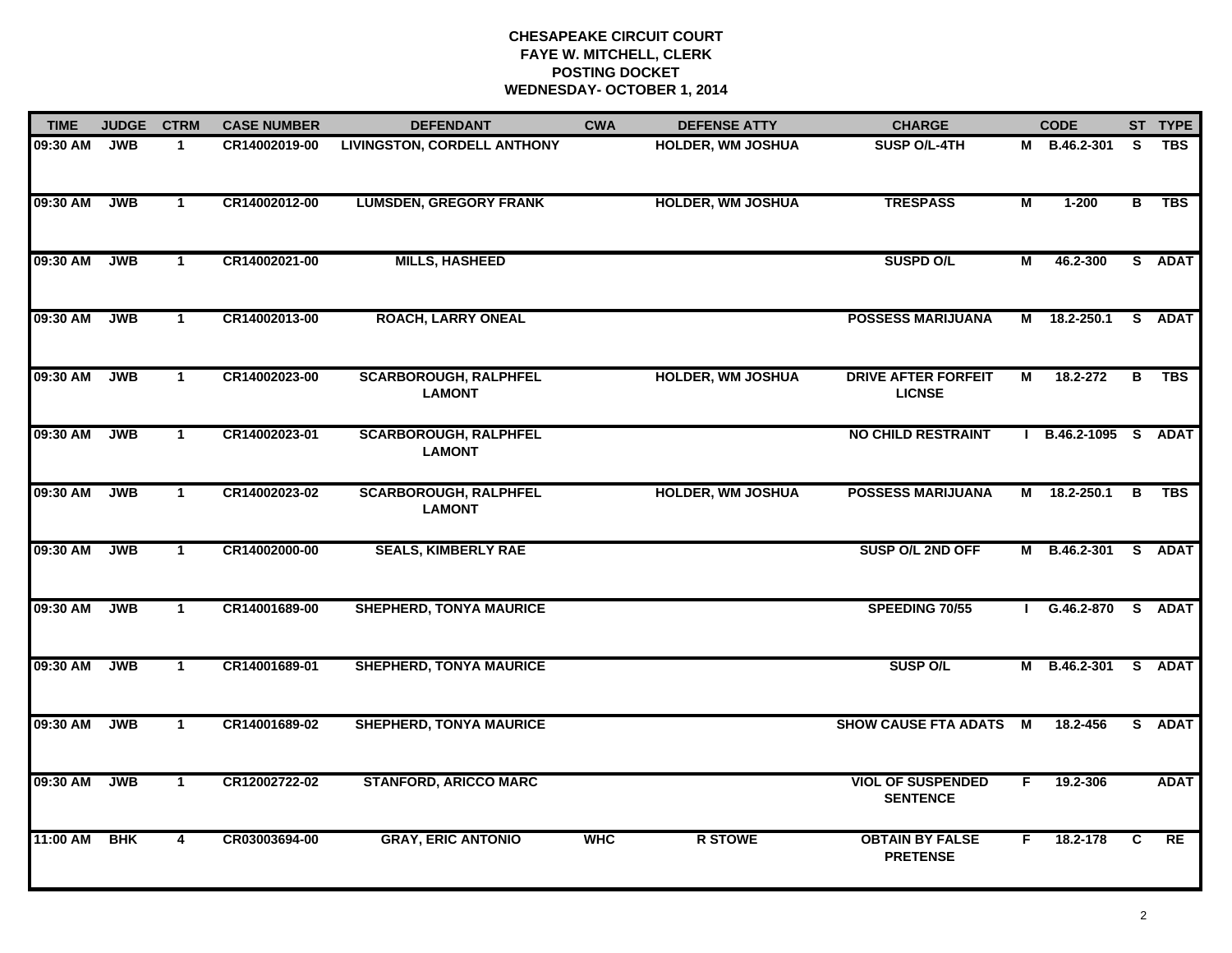| <b>TIME</b> | <b>JUDGE</b> | <b>CTRM</b>  | <b>CASE NUMBER</b> | <b>DEFENDANT</b>                              | <b>CWA</b> | <b>DEFENSE ATTY</b>      | <b>CHARGE</b>                               |                         | <b>CODE</b>          |                | ST TYPE     |
|-------------|--------------|--------------|--------------------|-----------------------------------------------|------------|--------------------------|---------------------------------------------|-------------------------|----------------------|----------------|-------------|
| 09:30 AM    | <b>JWB</b>   | $\mathbf{1}$ | CR14002019-00      | <b>LIVINGSTON, CORDELL ANTHONY</b>            |            | <b>HOLDER, WM JOSHUA</b> | SUSP O/L-4TH                                |                         | M B.46.2-301         | <b>S</b>       | <b>TBS</b>  |
| 09:30 AM    | <b>JWB</b>   | $\mathbf{1}$ | CR14002012-00      | <b>LUMSDEN, GREGORY FRANK</b>                 |            | <b>HOLDER, WM JOSHUA</b> | <b>TRESPASS</b>                             | $\overline{\mathsf{M}}$ | $1 - 200$            | $\overline{B}$ | <b>TBS</b>  |
| 09:30 AM    | <b>JWB</b>   | $\mathbf{1}$ | CR14002021-00      | <b>MILLS, HASHEED</b>                         |            |                          | <b>SUSPD O/L</b>                            | М                       | 46.2-300             |                | S ADAT      |
| 09:30 AM    | <b>JWB</b>   | $\mathbf{1}$ | CR14002013-00      | <b>ROACH, LARRY ONEAL</b>                     |            |                          | <b>POSSESS MARIJUANA</b>                    | М                       | 18.2-250.1           |                | S ADAT      |
| 09:30 AM    | <b>JWB</b>   | $\mathbf{1}$ | CR14002023-00      | <b>SCARBOROUGH, RALPHFEL</b><br><b>LAMONT</b> |            | <b>HOLDER, WM JOSHUA</b> | <b>DRIVE AFTER FORFEIT</b><br><b>LICNSE</b> | М                       | 18.2-272             | B              | <b>TBS</b>  |
| 09:30 AM    | <b>JWB</b>   | $\mathbf{1}$ | CR14002023-01      | <b>SCARBOROUGH, RALPHFEL</b><br><b>LAMONT</b> |            |                          | <b>NO CHILD RESTRAINT</b>                   |                         | I B.46.2-1095 S ADAT |                |             |
| 09:30 AM    | <b>JWB</b>   | $\mathbf{1}$ | CR14002023-02      | <b>SCARBOROUGH, RALPHFEL</b><br><b>LAMONT</b> |            | <b>HOLDER, WM JOSHUA</b> | <b>POSSESS MARIJUANA</b>                    | М                       | 18.2-250.1           | B              | <b>TBS</b>  |
| 09:30 AM    | <b>JWB</b>   | $\mathbf{1}$ | CR14002000-00      | <b>SEALS, KIMBERLY RAE</b>                    |            |                          | SUSP O/L 2ND OFF                            | м                       | B.46.2-301           |                | S ADAT      |
| 09:30 AM    | <b>JWB</b>   | $\mathbf{1}$ | CR14001689-00      | <b>SHEPHERD, TONYA MAURICE</b>                |            |                          | SPEEDING 70/55                              |                         | G.46.2-870           |                | S ADAT      |
| 09:30 AM    | <b>JWB</b>   | $\mathbf{1}$ | CR14001689-01      | <b>SHEPHERD, TONYA MAURICE</b>                |            |                          | <b>SUSP O/L</b>                             | М                       | B.46.2-301           |                | S ADAT      |
| 09:30 AM    | <b>JWB</b>   | $\mathbf{1}$ | CR14001689-02      | <b>SHEPHERD, TONYA MAURICE</b>                |            |                          | SHOW CAUSE FTA ADATS M                      |                         | 18.2-456             | S.             | <b>ADAT</b> |
| 09:30 AM    | <b>JWB</b>   | $\mathbf{1}$ | CR12002722-02      | <b>STANFORD, ARICCO MARC</b>                  |            |                          | <b>VIOL OF SUSPENDED</b><br><b>SENTENCE</b> | F.                      | 19.2-306             |                | <b>ADAT</b> |
| 11:00 AM    | <b>BHK</b>   | 4            | CR03003694-00      | <b>GRAY, ERIC ANTONIO</b>                     | <b>WHC</b> | <b>R STOWE</b>           | <b>OBTAIN BY FALSE</b><br><b>PRETENSE</b>   | F.                      | 18.2-178             | C              | RE          |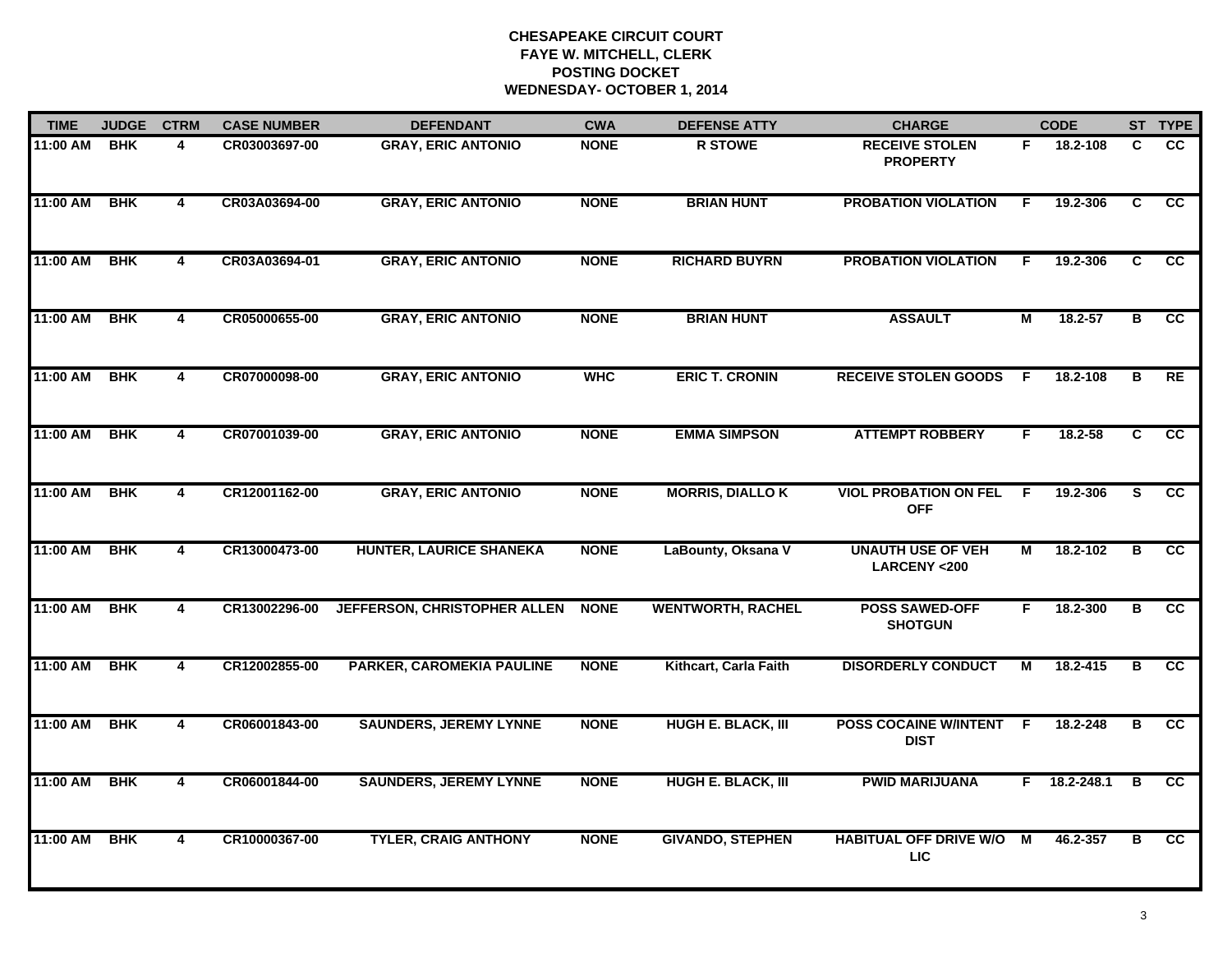| <b>TIME</b> | <b>JUDGE</b> | <b>CTRM</b>             | <b>CASE NUMBER</b> | <b>DEFENDANT</b>                 | <b>CWA</b>  | <b>DEFENSE ATTY</b>       | <b>CHARGE</b>                                      |    | <b>CODE</b>    |          | ST TYPE         |
|-------------|--------------|-------------------------|--------------------|----------------------------------|-------------|---------------------------|----------------------------------------------------|----|----------------|----------|-----------------|
| 11:00 AM    | <b>BHK</b>   | 4                       | CR03003697-00      | <b>GRAY, ERIC ANTONIO</b>        | <b>NONE</b> | <b>R STOWE</b>            | <b>RECEIVE STOLEN</b><br><b>PROPERTY</b>           | F. | 18.2-108       | C        | cc              |
| 11:00 AM    | <b>BHK</b>   | 4                       | CR03A03694-00      | <b>GRAY, ERIC ANTONIO</b>        | <b>NONE</b> | <b>BRIAN HUNT</b>         | <b>PROBATION VIOLATION</b>                         | F. | 19.2-306       | C        | $\overline{cc}$ |
| 11:00 AM    | <b>BHK</b>   | $\overline{\mathbf{4}}$ | CR03A03694-01      | <b>GRAY, ERIC ANTONIO</b>        | <b>NONE</b> | <b>RICHARD BUYRN</b>      | <b>PROBATION VIOLATION</b>                         | F  | 19.2-306       | C        | cc              |
| 11:00 AM    | <b>BHK</b>   | 4                       | CR05000655-00      | <b>GRAY, ERIC ANTONIO</b>        | <b>NONE</b> | <b>BRIAN HUNT</b>         | <b>ASSAULT</b>                                     | М  | $18.2 - 57$    | В        | <b>CC</b>       |
| 11:00 AM    | <b>BHK</b>   | 4                       | CR07000098-00      | <b>GRAY, ERIC ANTONIO</b>        | <b>WHC</b>  | <b>ERIC T. CRONIN</b>     | <b>RECEIVE STOLEN GOODS</b>                        | -F | 18.2-108       | В        | <b>RE</b>       |
| 11:00 AM    | <b>BHK</b>   | 4                       | CR07001039-00      | <b>GRAY, ERIC ANTONIO</b>        | <b>NONE</b> | <b>EMMA SIMPSON</b>       | <b>ATTEMPT ROBBERY</b>                             | F. | 18.2-58        | C        | <b>CC</b>       |
| 11:00 AM    | <b>BHK</b>   | $\overline{4}$          | CR12001162-00      | <b>GRAY, ERIC ANTONIO</b>        | <b>NONE</b> | <b>MORRIS, DIALLO K</b>   | <b>VIOL PROBATION ON FEL</b><br><b>OFF</b>         | -F | 19.2-306       | <b>S</b> | cc              |
| 11:00 AM    | <b>BHK</b>   | 4                       | CR13000473-00      | <b>HUNTER, LAURICE SHANEKA</b>   | <b>NONE</b> | LaBounty, Oksana V        | <b>UNAUTH USE OF VEH</b><br><b>LARCENY &lt;200</b> | м  | 18.2-102       | в        | CC              |
| 11:00 AM    | <b>BHK</b>   | 4                       | CR13002296-00      | JEFFERSON, CHRISTOPHER ALLEN     | <b>NONE</b> | <b>WENTWORTH, RACHEL</b>  | <b>POSS SAWED-OFF</b><br><b>SHOTGUN</b>            | F  | 18.2-300       | В        | CC              |
| 11:00 AM    | <b>BHK</b>   | 4                       | CR12002855-00      | <b>PARKER, CAROMEKIA PAULINE</b> | <b>NONE</b> | Kithcart, Carla Faith     | <b>DISORDERLY CONDUCT</b>                          | м  | $18.2 - 415$   | в        | <b>CC</b>       |
| 11:00 AM    | <b>BHK</b>   | 4                       | CR06001843-00      | <b>SAUNDERS, JEREMY LYNNE</b>    | <b>NONE</b> | <b>HUGH E. BLACK, III</b> | POSS COCAINE W/INTENT F<br><b>DIST</b>             |    | 18.2-248       | в        | $\overline{cc}$ |
| 11:00 AM    | <b>BHK</b>   | 4                       | CR06001844-00      | <b>SAUNDERS, JEREMY LYNNE</b>    | <b>NONE</b> | <b>HUGH E. BLACK, III</b> | <b>PWID MARIJUANA</b>                              |    | $F$ 18.2-248.1 | В        | $\overline{cc}$ |
| 11:00 AM    | <b>BHK</b>   | 4                       | CR10000367-00      | <b>TYLER, CRAIG ANTHONY</b>      | <b>NONE</b> | <b>GIVANDO, STEPHEN</b>   | <b>HABITUAL OFF DRIVE W/O</b><br><b>LIC</b>        | M  | 46.2-357       | В        | cc              |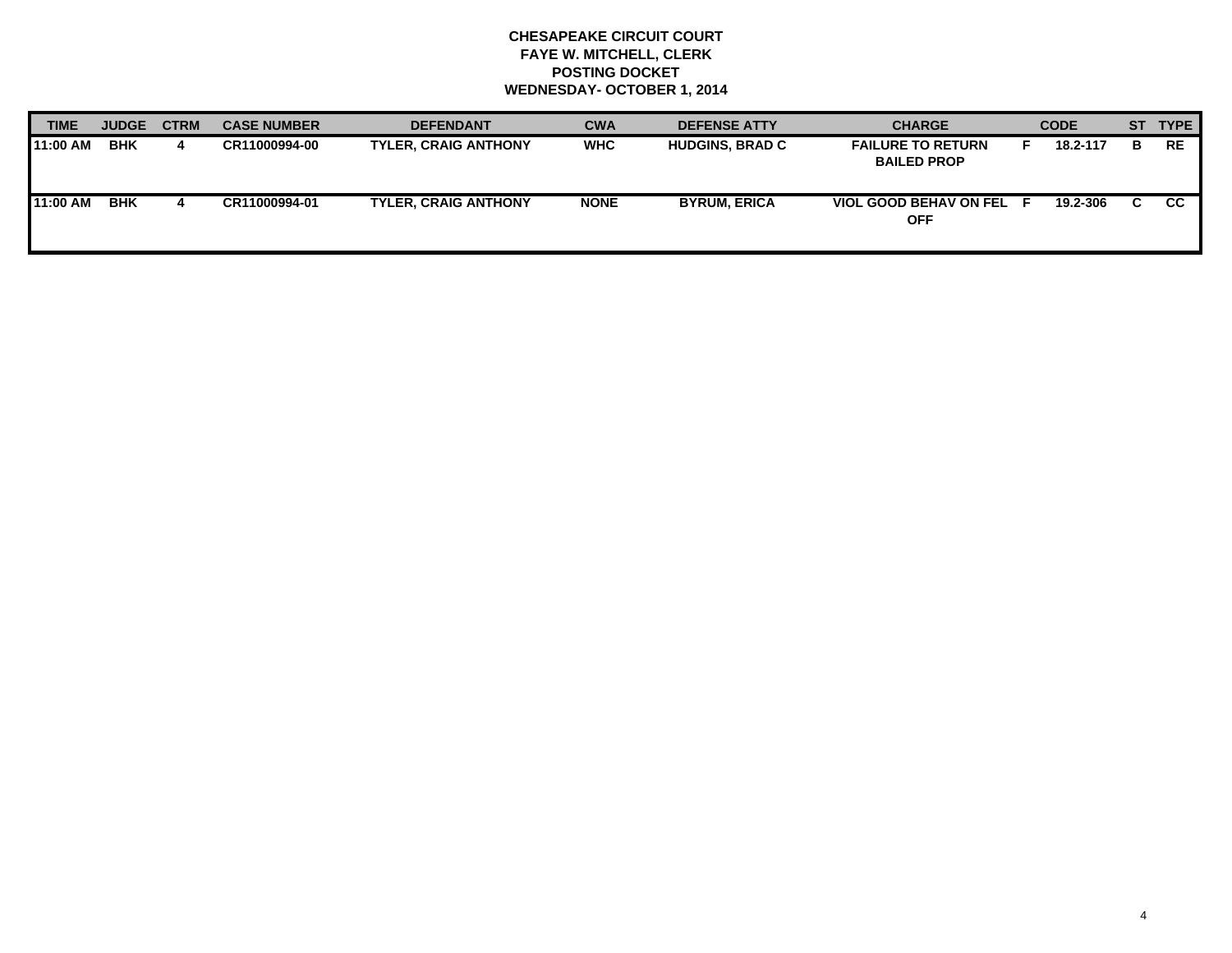| TIME     | <b>JUDGE</b> | <b>CTRM</b> | <b>CASE NUMBER</b> | <b>DEFENDANT</b>            | <b>CWA</b>  | <b>DEFENSE ATTY</b>    | <b>CHARGE</b>                                  | <b>CODE</b> | <b>ST</b> | <b>TYPE</b> |
|----------|--------------|-------------|--------------------|-----------------------------|-------------|------------------------|------------------------------------------------|-------------|-----------|-------------|
| 11:00 AM | <b>BHK</b>   | 4           | CR11000994-00      | <b>TYLER. CRAIG ANTHONY</b> | <b>WHC</b>  | <b>HUDGINS, BRAD C</b> | <b>FAILURE TO RETURN</b><br><b>BAILED PROP</b> | 18.2-117    | в         | <b>RE</b>   |
| 11:00 AM | <b>BHK</b>   | 4           | CR11000994-01      | <b>TYLER. CRAIG ANTHONY</b> | <b>NONE</b> | <b>BYRUM, ERICA</b>    | <b>VIOL GOOD BEHAV ON FEL</b><br><b>OFF</b>    | 19.2-306    | r         | CC.         |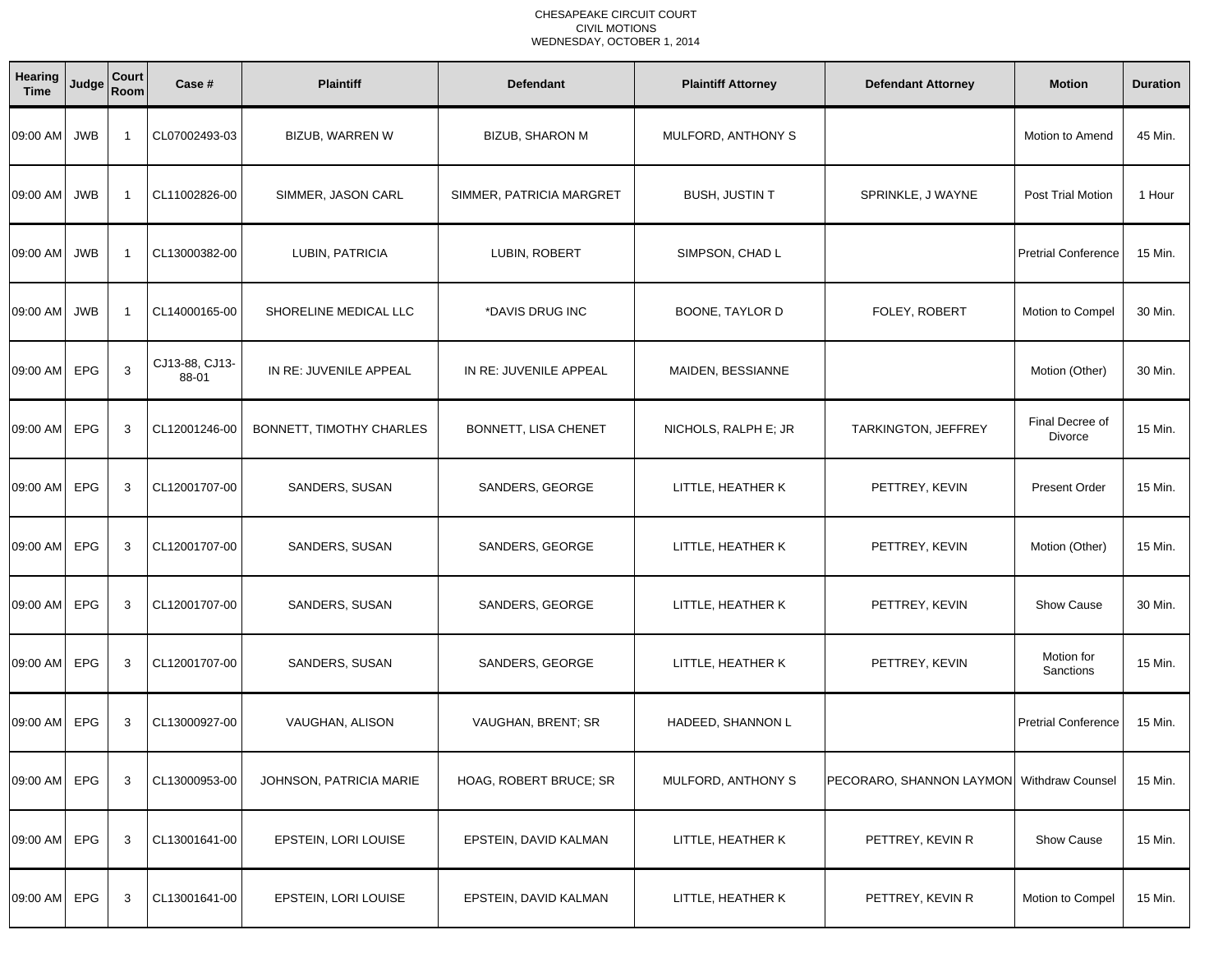| Hearing<br><b>Time</b> | Judge      | Court<br>Room  | Case #                  | <b>Plaintiff</b>         | <b>Defendant</b>         | <b>Plaintiff Attorney</b> | <b>Defendant Attorney</b>                 | <b>Motion</b>              | <b>Duration</b> |
|------------------------|------------|----------------|-------------------------|--------------------------|--------------------------|---------------------------|-------------------------------------------|----------------------------|-----------------|
| 09:00 AM               | <b>JWB</b> | $\overline{1}$ | CL07002493-03           | BIZUB, WARREN W          | <b>BIZUB, SHARON M</b>   | MULFORD, ANTHONY S        |                                           | Motion to Amend            | 45 Min.         |
| 09:00 AM               | <b>JWB</b> | $\overline{1}$ | CL11002826-00           | SIMMER, JASON CARL       | SIMMER, PATRICIA MARGRET | <b>BUSH, JUSTIN T</b>     | SPRINKLE, J WAYNE                         | Post Trial Motion          | 1 Hour          |
| 09:00 AM               | <b>JWB</b> | $\overline{1}$ | CL13000382-00           | LUBIN, PATRICIA          | LUBIN, ROBERT            | SIMPSON, CHAD L           |                                           | <b>Pretrial Conference</b> | 15 Min.         |
| 09:00 AM               | <b>JWB</b> | $\overline{1}$ | CL14000165-00           | SHORELINE MEDICAL LLC    | *DAVIS DRUG INC          | BOONE, TAYLOR D           | FOLEY, ROBERT                             | Motion to Compel           | 30 Min.         |
| 09:00 AM               | EPG        | 3              | CJ13-88, CJ13-<br>88-01 | IN RE: JUVENILE APPEAL   | IN RE: JUVENILE APPEAL   | MAIDEN, BESSIANNE         |                                           | Motion (Other)             | 30 Min.         |
| 09:00 AM               | EPG        | 3              | CL12001246-00           | BONNETT, TIMOTHY CHARLES | BONNETT, LISA CHENET     | NICHOLS, RALPH E; JR      | <b>TARKINGTON, JEFFREY</b>                | Final Decree of<br>Divorce | 15 Min.         |
| 09:00 AM               | EPG        | 3              | CL12001707-00           | SANDERS, SUSAN           | SANDERS, GEORGE          | LITTLE, HEATHER K         | PETTREY, KEVIN                            | <b>Present Order</b>       | 15 Min.         |
| 09:00 AM               | <b>EPG</b> | 3              | CL12001707-00           | SANDERS, SUSAN           | SANDERS, GEORGE          | LITTLE, HEATHER K         | PETTREY, KEVIN                            | Motion (Other)             | 15 Min.         |
| 09:00 AM               | <b>EPG</b> | 3              | CL12001707-00           | SANDERS, SUSAN           | SANDERS, GEORGE          | LITTLE, HEATHER K         | PETTREY, KEVIN                            | <b>Show Cause</b>          | 30 Min.         |
| 09:00 AM               | EPG        | 3              | CL12001707-00           | <b>SANDERS, SUSAN</b>    | SANDERS, GEORGE          | LITTLE, HEATHER K         | PETTREY, KEVIN                            | Motion for<br>Sanctions    | 15 Min.         |
| 09:00 AM               | EPG        | 3              | CL13000927-00           | VAUGHAN, ALISON          | VAUGHAN, BRENT; SR       | HADEED, SHANNON L         |                                           | <b>Pretrial Conference</b> | 15 Min.         |
| 09:00 AM               | EPG        | 3              | CL13000953-00           | JOHNSON, PATRICIA MARIE  | HOAG, ROBERT BRUCE; SR   | MULFORD, ANTHONY S        | PECORARO, SHANNON LAYMON Withdraw Counsel |                            | 15 Min.         |
| 09:00 AM               | EPG        | 3              | CL13001641-00           | EPSTEIN, LORI LOUISE     | EPSTEIN, DAVID KALMAN    | LITTLE, HEATHER K         | PETTREY, KEVIN R                          | Show Cause                 | 15 Min.         |
| 09:00 AM               | EPG        | 3              | CL13001641-00           | EPSTEIN, LORI LOUISE     | EPSTEIN, DAVID KALMAN    | LITTLE, HEATHER K         | PETTREY, KEVIN R                          | Motion to Compel           | 15 Min.         |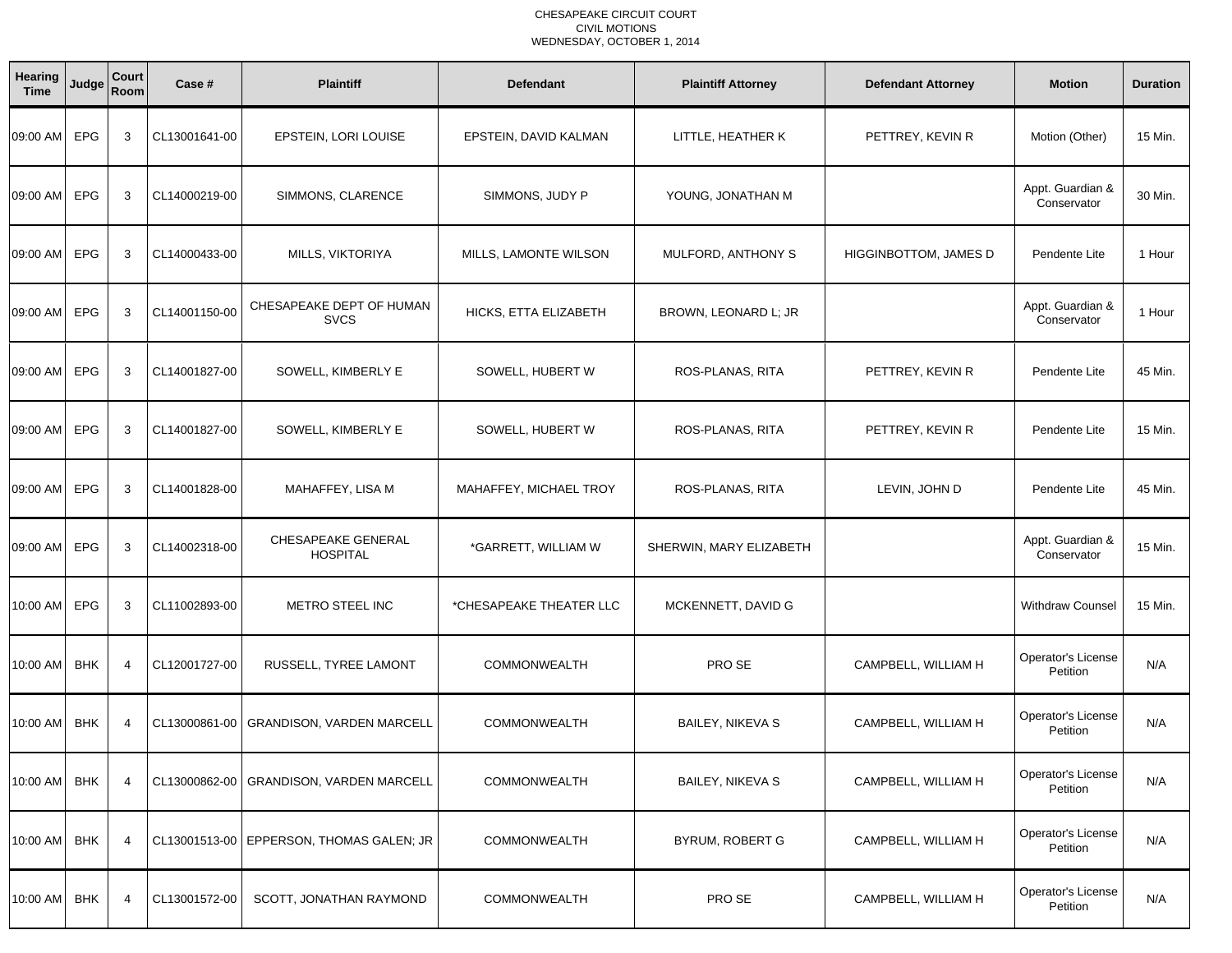| Hearing<br><b>Time</b> | Judge      | Court<br>Room  | Case #        | <b>Plaintiff</b>                        | <b>Defendant</b>        | <b>Plaintiff Attorney</b> | <b>Defendant Attorney</b> | <b>Motion</b>                         | <b>Duration</b> |
|------------------------|------------|----------------|---------------|-----------------------------------------|-------------------------|---------------------------|---------------------------|---------------------------------------|-----------------|
| 09:00 AM               | <b>EPG</b> | 3              | CL13001641-00 | EPSTEIN, LORI LOUISE                    | EPSTEIN, DAVID KALMAN   | LITTLE, HEATHER K         | PETTREY, KEVIN R          | Motion (Other)                        | 15 Min.         |
| 09:00 AM               | <b>EPG</b> | 3              | CL14000219-00 | SIMMONS, CLARENCE                       | SIMMONS, JUDY P         | YOUNG, JONATHAN M         |                           | Appt. Guardian &<br>Conservator       | 30 Min.         |
| 09:00 AM               | <b>EPG</b> | 3              | CL14000433-00 | MILLS, VIKTORIYA                        | MILLS, LAMONTE WILSON   | MULFORD, ANTHONY S        | HIGGINBOTTOM, JAMES D     | Pendente Lite                         | 1 Hour          |
| 09:00 AM               | <b>EPG</b> | 3              | CL14001150-00 | CHESAPEAKE DEPT OF HUMAN<br><b>SVCS</b> | HICKS, ETTA ELIZABETH   | BROWN, LEONARD L; JR      |                           | Appt. Guardian &<br>Conservator       | 1 Hour          |
| 09:00 AM               | EPG        | 3              | CL14001827-00 | SOWELL, KIMBERLY E                      | SOWELL, HUBERT W        | ROS-PLANAS, RITA          | PETTREY, KEVIN R          | Pendente Lite                         | 45 Min.         |
| 09:00 AM               | EPG        | 3              | CL14001827-00 | SOWELL, KIMBERLY E                      | SOWELL, HUBERT W        | ROS-PLANAS, RITA          | PETTREY, KEVIN R          | Pendente Lite                         | 15 Min.         |
| 09:00 AM               | EPG        | 3              | CL14001828-00 | MAHAFFEY, LISA M                        | MAHAFFEY, MICHAEL TROY  | ROS-PLANAS, RITA          | LEVIN, JOHN D             | Pendente Lite                         | 45 Min.         |
| 09:00 AM               | EPG        | 3              | CL14002318-00 | CHESAPEAKE GENERAL<br><b>HOSPITAL</b>   | *GARRETT, WILLIAM W     | SHERWIN, MARY ELIZABETH   |                           | Appt. Guardian &<br>Conservator       | 15 Min.         |
| 10:00 AM               | <b>EPG</b> | 3              | CL11002893-00 | <b>METRO STEEL INC</b>                  | *CHESAPEAKE THEATER LLC | MCKENNETT, DAVID G        |                           | <b>Withdraw Counsel</b>               | 15 Min.         |
| 10:00 AM               | <b>BHK</b> | $\overline{4}$ | CL12001727-00 | RUSSELL, TYREE LAMONT                   | <b>COMMONWEALTH</b>     | PRO SE                    | CAMPBELL, WILLIAM H       | <b>Operator's License</b><br>Petition | N/A             |
| 10:00 AM               | <b>BHK</b> | $\overline{4}$ | CL13000861-00 | <b>GRANDISON, VARDEN MARCELL</b>        | <b>COMMONWEALTH</b>     | <b>BAILEY, NIKEVA S</b>   | CAMPBELL, WILLIAM H       | Operator's License<br>Petition        | N/A             |
| $10:00$ AM             | <b>BHK</b> | 4              | CL13000862-00 | <b>GRANDISON, VARDEN MARCELL</b>        | <b>COMMONWEALTH</b>     | <b>BAILEY, NIKEVA S</b>   | CAMPBELL, WILLIAM H       | Operator's License<br>Petition        | N/A             |
| $10:00$ AM             | <b>BHK</b> | 4              | CL13001513-00 | EPPERSON, THOMAS GALEN; JR              | <b>COMMONWEALTH</b>     | <b>BYRUM, ROBERT G</b>    | CAMPBELL, WILLIAM H       | Operator's License<br>Petition        | N/A             |
| 10:00 AM               | BHK        | 4              | CL13001572-00 | SCOTT, JONATHAN RAYMOND                 | COMMONWEALTH            | PRO SE                    | CAMPBELL, WILLIAM H       | Operator's License<br>Petition        | N/A             |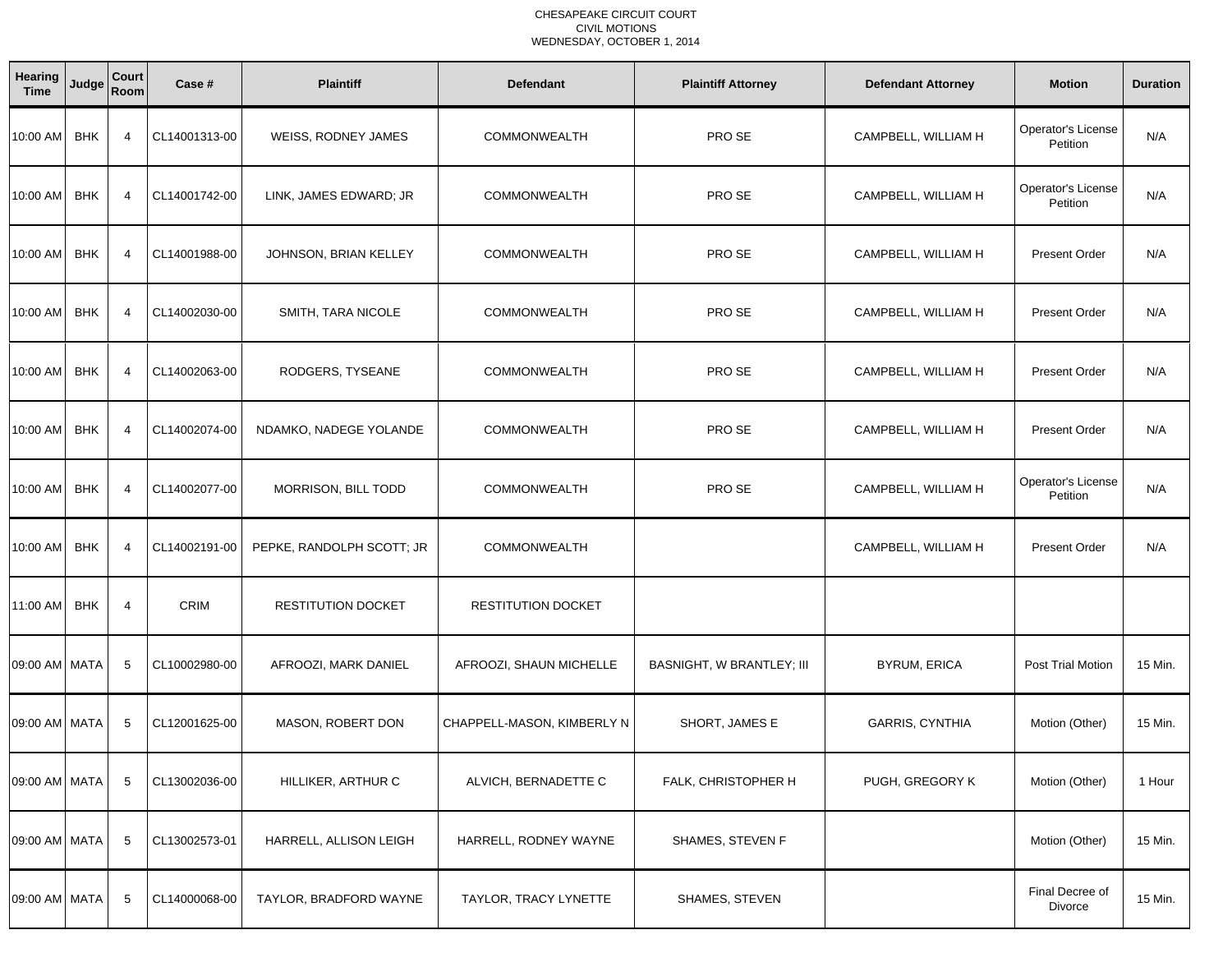| Hearing<br><b>Time</b> | Judge      | Court<br>Room  | Case #        | <b>Plaintiff</b>          | <b>Defendant</b>           | <b>Plaintiff Attorney</b>        | <b>Defendant Attorney</b> | <b>Motion</b>                  | <b>Duration</b> |
|------------------------|------------|----------------|---------------|---------------------------|----------------------------|----------------------------------|---------------------------|--------------------------------|-----------------|
| 10:00 AM               | <b>BHK</b> | $\overline{4}$ | CL14001313-00 | WEISS, RODNEY JAMES       | <b>COMMONWEALTH</b>        | PRO SE                           | CAMPBELL, WILLIAM H       | Operator's License<br>Petition | N/A             |
| 10:00 AM               | <b>BHK</b> | $\overline{4}$ | CL14001742-00 | LINK, JAMES EDWARD; JR    | <b>COMMONWEALTH</b>        | PRO SE                           | CAMPBELL, WILLIAM H       | Operator's License<br>Petition | N/A             |
| 10:00 AM               | <b>BHK</b> | 4              | CL14001988-00 | JOHNSON, BRIAN KELLEY     | <b>COMMONWEALTH</b>        | PRO SE                           | CAMPBELL, WILLIAM H       | <b>Present Order</b>           | N/A             |
| 10:00 AM               | <b>BHK</b> | $\overline{4}$ | CL14002030-00 | SMITH, TARA NICOLE        | <b>COMMONWEALTH</b>        | PRO SE                           | CAMPBELL, WILLIAM H       | <b>Present Order</b>           | N/A             |
| 10:00 AM               | <b>BHK</b> | $\overline{4}$ | CL14002063-00 | RODGERS, TYSEANE          | <b>COMMONWEALTH</b>        | PRO SE                           | CAMPBELL, WILLIAM H       | <b>Present Order</b>           | N/A             |
| 10:00 AM               | <b>BHK</b> | 4              | CL14002074-00 | NDAMKO, NADEGE YOLANDE    | <b>COMMONWEALTH</b>        | PRO SE                           | CAMPBELL, WILLIAM H       | <b>Present Order</b>           | N/A             |
| 10:00 AM               | <b>BHK</b> | 4              | CL14002077-00 | MORRISON, BILL TODD       | <b>COMMONWEALTH</b>        | PRO SE                           | CAMPBELL, WILLIAM H       | Operator's License<br>Petition | N/A             |
| 10:00 AM               | <b>BHK</b> | $\overline{4}$ | CL14002191-00 | PEPKE, RANDOLPH SCOTT; JR | <b>COMMONWEALTH</b>        |                                  | CAMPBELL, WILLIAM H       | <b>Present Order</b>           | N/A             |
| 11:00 AM               | <b>BHK</b> | $\overline{4}$ | CRIM          | RESTITUTION DOCKET        | <b>RESTITUTION DOCKET</b>  |                                  |                           |                                |                 |
| 09:00 AM MATA          |            | 5              | CL10002980-00 | AFROOZI, MARK DANIEL      | AFROOZI, SHAUN MICHELLE    | <b>BASNIGHT, W BRANTLEY; III</b> | <b>BYRUM, ERICA</b>       | Post Trial Motion              | 15 Min.         |
| 09:00 AM MATA          |            | 5              | CL12001625-00 | MASON, ROBERT DON         | CHAPPELL-MASON, KIMBERLY N | SHORT, JAMES E                   | GARRIS, CYNTHIA           | Motion (Other)                 | 15 Min.         |
| 09:00 AM MATA          |            | 5              | CL13002036-00 | HILLIKER, ARTHUR C        | ALVICH, BERNADETTE C       | FALK, CHRISTOPHER H              | PUGH, GREGORY K           | Motion (Other)                 | 1 Hour          |
| 09:00 AM MATA          |            | 5              | CL13002573-01 | HARRELL, ALLISON LEIGH    | HARRELL, RODNEY WAYNE      | SHAMES, STEVEN F                 |                           | Motion (Other)                 | 15 Min.         |
| 09:00 AM MATA          |            | 5              | CL14000068-00 | TAYLOR, BRADFORD WAYNE    | TAYLOR, TRACY LYNETTE      | SHAMES, STEVEN                   |                           | Final Decree of<br>Divorce     | 15 Min.         |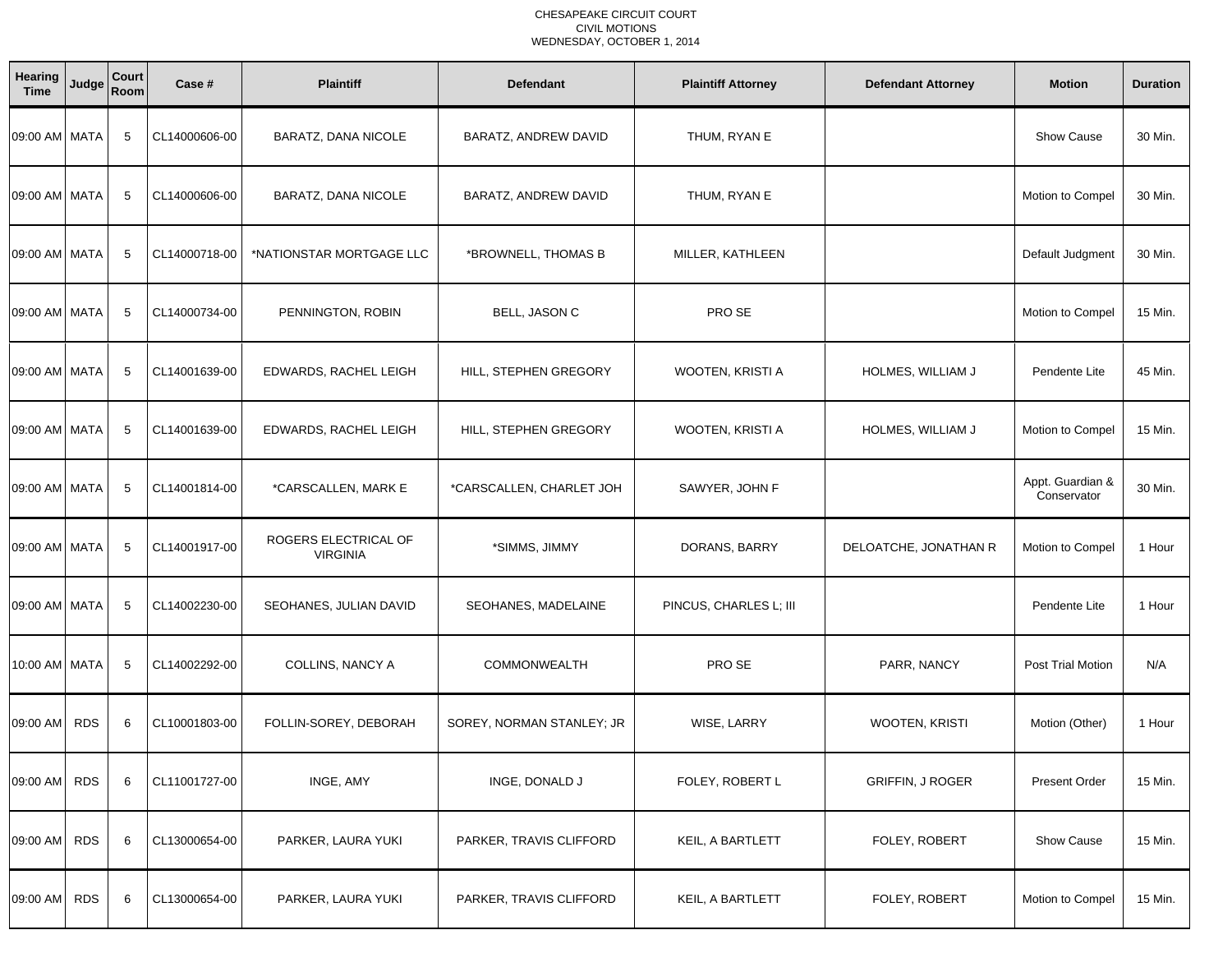| Hearing<br><b>Time</b> | Judge      | Court<br>Room | Case #        | <b>Plaintiff</b>                        | <b>Defendant</b>          | <b>Plaintiff Attorney</b> | <b>Defendant Attorney</b> | <b>Motion</b>                   | <b>Duration</b> |
|------------------------|------------|---------------|---------------|-----------------------------------------|---------------------------|---------------------------|---------------------------|---------------------------------|-----------------|
| 09:00 AM   MATA        |            | 5             | CL14000606-00 | BARATZ, DANA NICOLE                     | BARATZ, ANDREW DAVID      | THUM, RYAN E              |                           | <b>Show Cause</b>               | 30 Min.         |
| 09:00 AM   MATA        |            | 5             | CL14000606-00 | BARATZ, DANA NICOLE                     | BARATZ, ANDREW DAVID      | THUM, RYAN E              |                           | Motion to Compel                | 30 Min.         |
| 09:00 AM MATA          |            | 5             | CL14000718-00 | *NATIONSTAR MORTGAGE LLC                | *BROWNELL, THOMAS B       | MILLER, KATHLEEN          |                           | Default Judgment                | 30 Min.         |
| 09:00 AM MATA          |            | 5             | CL14000734-00 | PENNINGTON, ROBIN                       | BELL, JASON C             | PRO SE                    |                           | Motion to Compel                | 15 Min.         |
| 09:00 AM MATA          |            | 5             | CL14001639-00 | EDWARDS, RACHEL LEIGH                   | HILL, STEPHEN GREGORY     | WOOTEN, KRISTI A          | HOLMES, WILLIAM J         | Pendente Lite                   | 45 Min.         |
| 09:00 AM MATA          |            | 5             | CL14001639-00 | EDWARDS, RACHEL LEIGH                   | HILL, STEPHEN GREGORY     | WOOTEN, KRISTI A          | HOLMES, WILLIAM J         | Motion to Compel                | 15 Min.         |
| 09:00 AM MATA          |            | 5             | CL14001814-00 | *CARSCALLEN, MARK E                     | *CARSCALLEN, CHARLET JOH  | SAWYER, JOHN F            |                           | Appt. Guardian &<br>Conservator | 30 Min.         |
| 09:00 AM MATA          |            | 5             | CL14001917-00 | ROGERS ELECTRICAL OF<br><b>VIRGINIA</b> | *SIMMS, JIMMY             | DORANS, BARRY             | DELOATCHE, JONATHAN R     | Motion to Compel                | 1 Hour          |
| 09:00 AM MATA          |            | 5             | CL14002230-00 | SEOHANES, JULIAN DAVID                  | SEOHANES, MADELAINE       | PINCUS, CHARLES L; III    |                           | Pendente Lite                   | 1 Hour          |
| 10:00 AM MATA          |            | 5             | CL14002292-00 | COLLINS, NANCY A                        | <b>COMMONWEALTH</b>       | PRO SE                    | PARR, NANCY               | <b>Post Trial Motion</b>        | N/A             |
| 09:00 AM               | <b>RDS</b> | 6             | CL10001803-00 | FOLLIN-SOREY, DEBORAH                   | SOREY, NORMAN STANLEY; JR | WISE, LARRY               | WOOTEN, KRISTI            | Motion (Other)                  | 1 Hour          |
| 09:00 AM RDS           |            | 6             | CL11001727-00 | INGE, AMY                               | INGE, DONALD J            | FOLEY, ROBERT L           | <b>GRIFFIN, J ROGER</b>   | <b>Present Order</b>            | 15 Min.         |
| 09:00 AM               | <b>RDS</b> | 6             | CL13000654-00 | PARKER, LAURA YUKI                      | PARKER, TRAVIS CLIFFORD   | KEIL, A BARTLETT          | FOLEY, ROBERT             | Show Cause                      | 15 Min.         |
| 09:00 AM RDS           |            | 6             | CL13000654-00 | PARKER, LAURA YUKI                      | PARKER, TRAVIS CLIFFORD   | KEIL, A BARTLETT          | FOLEY, ROBERT             | Motion to Compel                | 15 Min.         |